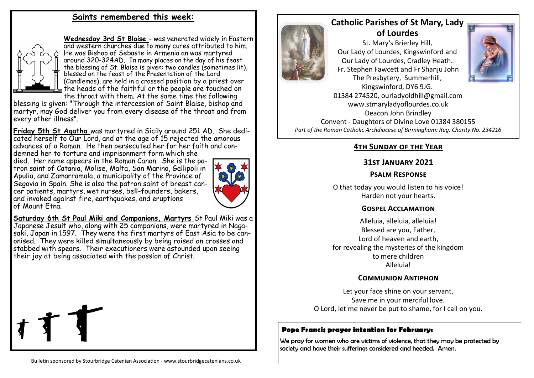# **Saints remembered this week:**



**Wednesday 3rd St Blaise** - was venerated widely in Eastern and western churches due to many cures attributed to him. He was Bishop of Sebaste in Armenia an was martyred around 320-324AD. In many places on the day of his feast the blessing of St. Blaise is given: two candles (sometimes lit), blessed on the feast of the Presentation of the Lord [\(Candlemas\)](https://en.wikipedia.org/wiki/Candlemas), are held in a crossed position by a priest over the heads of the faithful or the people are touched on the throat with them. At the same time the following

blessing is given: "Through the intercession of Saint Blaise, bishop and martyr, may God deliver you from every disease of the throat and from every other illness".

**Friday 5th St Agatha** was martyred in Sicily around 251 AD. She dedicated herself to Our Lord, and at the age of 15 rejected the amorous advances of a Roman. He then persecuted her for her faith and condemned her to torture and imprisonment form which she

died. Her name appears in the Roman Canon. She is the patron saint of Catania, [Molise,](https://en.wikipedia.org/wiki/Molise) [Malta,](https://en.wikipedia.org/wiki/Malta) [San Marino,](https://en.wikipedia.org/wiki/San_Marino) [Gallipoli in](https://en.wikipedia.org/wiki/Diocesan_Museum_of_Gallipoli)  [Apulia,](https://en.wikipedia.org/wiki/Diocesan_Museum_of_Gallipoli) and [Zamarramala,](https://en.wikipedia.org/wiki/Zamarramala) a municipality of the [Province of](https://en.wikipedia.org/wiki/Province_of_Segovia)  [Segovia](https://en.wikipedia.org/wiki/Province_of_Segovia) in Spain. She is also the patron saint of breast cancer patients, martyrs, wet nurses, bell-founders, bakers, and invoked against fire, earthquakes, and eruptions of [Mount Etna.](https://en.wikipedia.org/wiki/Mount_Etna) 



**Saturday 6th St Paul Miki and Companions, Martyrs** St Paul Miki was a Japanese Jesuit who, along with 25 companions, were martyred in Nagasaki, Japan in 1597. They were the first martyrs of East Asia to be canonised. They were killed simultaneously by being raised on crosses and stabbed with spears. Their executioners were astounded upon seeing their joy at being associated with the passion of Christ.



# **Catholic Parishes of St Mary, Lady of Lourdes**

St. Mary's Brierley Hill, Our Lady of Lourdes, Kingswinford and Our Lady of Lourdes, Cradley Heath. Fr. Stephen Fawcett and Fr Shanju John The Presbytery, Summerhill,



Kingswinford, DY6 9JG. 01384 274520, ourladyoldhill@gmail.com www.stmaryladyoflourdes.co.uk Deacon John Brindley Convent - Daughters of Divine Love 01384 380155 *Part of the Roman Catholic Archdiocese of Birmingham: Reg. Charity No. 234216*

# **4th Sunday of the Year**

## **31st January 2021**

## **Psalm Response**

O that today you would listen to his voice! Harden not your hearts.

#### **Gospel Acclamation**

Alleluia, alleluia, alleluia! Blessed are you, Father, Lord of heaven and earth, for revealing the mysteries of the kingdom to mere children Alleluia!

#### **Communion Antiphon**

Let your face shine on your servant. Save me in your merciful love. O Lord, let me never be put to shame, for I call on you.

# **Pope Francis prayer intention for February:**

We pray for women who are victims of violence, that they may be protected by society and have their sufferings considered and heeded. Amen.